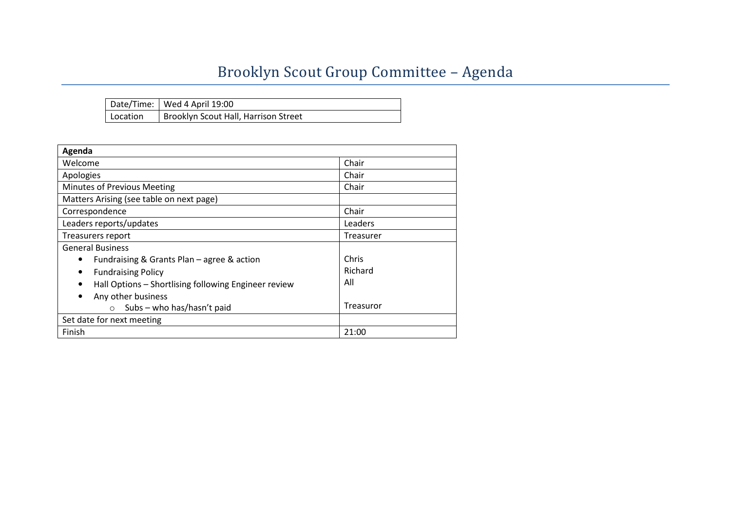## Brooklyn Scout Group Committee – Agenda

|          | Date/Time: Wed 4 April 19:00         |
|----------|--------------------------------------|
| Location | Brooklyn Scout Hall, Harrison Street |

| Agenda                                                    |           |  |  |  |  |
|-----------------------------------------------------------|-----------|--|--|--|--|
| Welcome                                                   | Chair     |  |  |  |  |
| Apologies                                                 | Chair     |  |  |  |  |
| Minutes of Previous Meeting                               | Chair     |  |  |  |  |
| Matters Arising (see table on next page)                  |           |  |  |  |  |
| Correspondence                                            | Chair     |  |  |  |  |
| Leaders reports/updates                                   | Leaders   |  |  |  |  |
| Treasurers report                                         | Treasurer |  |  |  |  |
| <b>General Business</b>                                   |           |  |  |  |  |
| Fundraising & Grants Plan - agree & action                | Chris     |  |  |  |  |
| <b>Fundraising Policy</b>                                 | Richard   |  |  |  |  |
| Hall Options - Shortlising following Engineer review<br>٠ | All       |  |  |  |  |
| Any other business                                        |           |  |  |  |  |
| Subs - who has/hasn't paid<br>$\circ$                     | Treasuror |  |  |  |  |
| Set date for next meeting                                 |           |  |  |  |  |
| Finish                                                    | 21:00     |  |  |  |  |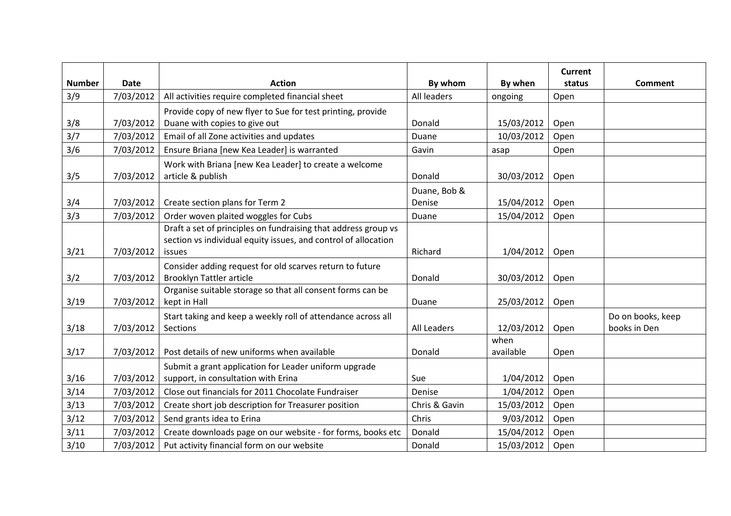|               |             |                                                                |               |            | <b>Current</b> |                   |
|---------------|-------------|----------------------------------------------------------------|---------------|------------|----------------|-------------------|
| <b>Number</b> | <b>Date</b> | <b>Action</b>                                                  | By whom       | By when    | status         | <b>Comment</b>    |
| 3/9           | 7/03/2012   | All activities require completed financial sheet               | All leaders   | ongoing    | Open           |                   |
|               |             | Provide copy of new flyer to Sue for test printing, provide    |               |            |                |                   |
| 3/8           | 7/03/2012   | Duane with copies to give out                                  | Donald        | 15/03/2012 | Open           |                   |
| 3/7           | 7/03/2012   | Email of all Zone activities and updates                       | Duane         | 10/03/2012 | Open           |                   |
| 3/6           | 7/03/2012   | Ensure Briana [new Kea Leader] is warranted                    | Gavin         | asap       | Open           |                   |
|               |             | Work with Briana [new Kea Leader] to create a welcome          |               |            |                |                   |
| 3/5           | 7/03/2012   | article & publish                                              | Donald        | 30/03/2012 | Open           |                   |
|               |             |                                                                | Duane, Bob &  |            |                |                   |
| 3/4           | 7/03/2012   | Create section plans for Term 2                                | Denise        | 15/04/2012 | Open           |                   |
| 3/3           | 7/03/2012   | Order woven plaited woggles for Cubs                           | Duane         | 15/04/2012 | Open           |                   |
|               |             | Draft a set of principles on fundraising that address group vs |               |            |                |                   |
|               |             | section vs individual equity issues, and control of allocation |               |            |                |                   |
| 3/21          | 7/03/2012   | issues                                                         | Richard       | 1/04/2012  | Open           |                   |
|               |             | Consider adding request for old scarves return to future       |               |            |                |                   |
| 3/2           | 7/03/2012   | <b>Brooklyn Tattler article</b>                                | Donald        | 30/03/2012 | Open           |                   |
|               |             | Organise suitable storage so that all consent forms can be     |               |            |                |                   |
| 3/19          | 7/03/2012   | kept in Hall                                                   | Duane         | 25/03/2012 | Open           |                   |
|               |             | Start taking and keep a weekly roll of attendance across all   |               |            |                | Do on books, keep |
| 3/18          | 7/03/2012   | Sections                                                       | All Leaders   | 12/03/2012 | Open           | books in Den      |
|               |             |                                                                |               | when       |                |                   |
| 3/17          | 7/03/2012   | Post details of new uniforms when available                    | Donald        | available  | Open           |                   |
|               |             | Submit a grant application for Leader uniform upgrade          |               |            |                |                   |
| 3/16          | 7/03/2012   | support, in consultation with Erina                            | Sue           | 1/04/2012  | Open           |                   |
| 3/14          | 7/03/2012   | Close out financials for 2011 Chocolate Fundraiser             | Denise        | 1/04/2012  | Open           |                   |
| 3/13          | 7/03/2012   | Create short job description for Treasurer position            | Chris & Gavin | 15/03/2012 | Open           |                   |
| 3/12          | 7/03/2012   | Send grants idea to Erina                                      | Chris         | 9/03/2012  | Open           |                   |
| 3/11          | 7/03/2012   | Create downloads page on our website - for forms, books etc    | Donald        | 15/04/2012 | Open           |                   |
| 3/10          | 7/03/2012   | Put activity financial form on our website                     | Donald        | 15/03/2012 | Open           |                   |